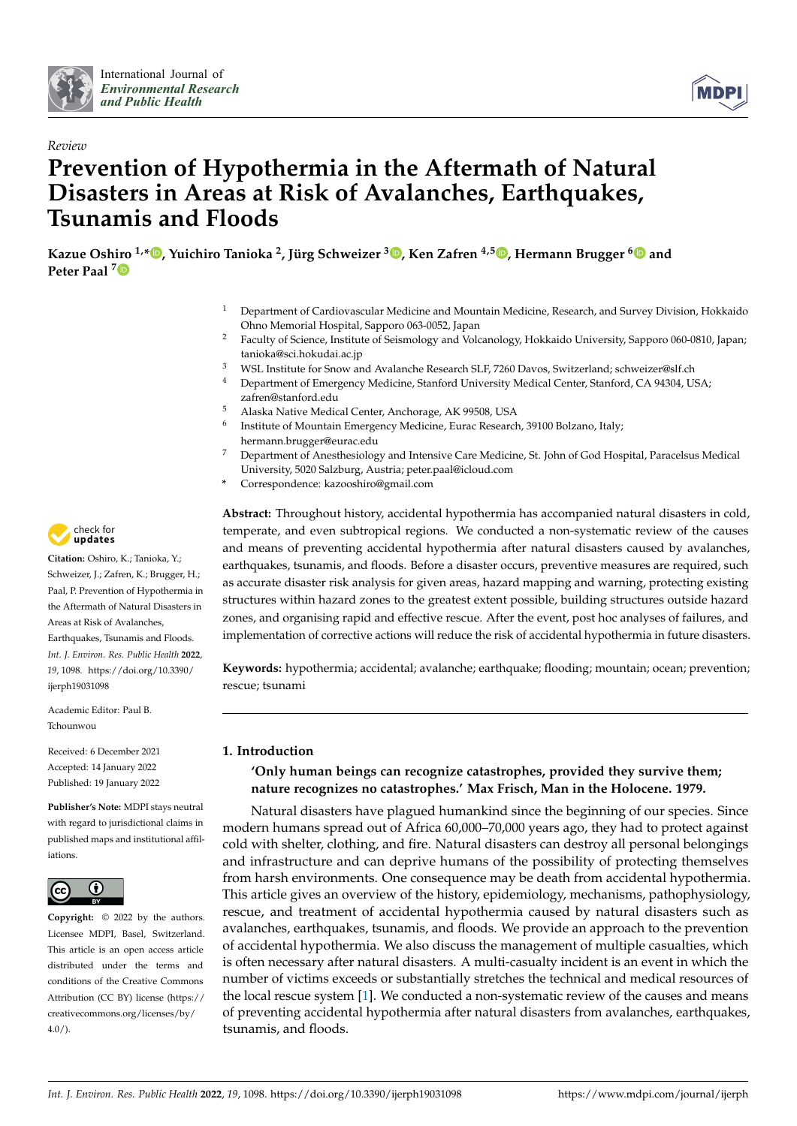



# *Review* **Prevention of Hypothermia in the Aftermath of Natural Disasters in Areas at Risk of Avalanches, Earthquakes, Tsunamis and Floods**

**Kazue Osh[iro](https://orcid.org/0000-0002-2939-4782) 1,[\\*](https://orcid.org/0000-0003-1248-0737) , Yuichiro Tanioka <sup>2</sup> , Jürg Schweizer <sup>3</sup> [,](https://orcid.org/0000-0001-5076-2968) Ken Zafren 4,5 [,](https://orcid.org/0000-0002-4928-840X) Hermann Brugger [6](https://orcid.org/0000-0003-2752-6929) and Peter Paal <sup>7</sup>**

- <sup>1</sup> Department of Cardiovascular Medicine and Mountain Medicine, Research, and Survey Division, Hokkaido Ohno Memorial Hospital, Sapporo 063-0052, Japan
- <sup>2</sup> Faculty of Science, Institute of Seismology and Volcanology, Hokkaido University, Sapporo 060-0810, Japan; tanioka@sci.hokudai.ac.jp
- <sup>3</sup> WSL Institute for Snow and Avalanche Research SLF, 7260 Davos, Switzerland; schweizer@slf.ch
- <sup>4</sup> Department of Emergency Medicine, Stanford University Medical Center, Stanford, CA 94304, USA; zafren@stanford.edu
- <sup>5</sup> Alaska Native Medical Center, Anchorage, AK 99508, USA
- 6 Institute of Mountain Emergency Medicine, Eurac Research, 39100 Bolzano, Italy; hermann.brugger@eurac.edu
- <sup>7</sup> Department of Anesthesiology and Intensive Care Medicine, St. John of God Hospital, Paracelsus Medical University, 5020 Salzburg, Austria; peter.paal@icloud.com
- **\*** Correspondence: kazooshiro@gmail.com

**Abstract:** Throughout history, accidental hypothermia has accompanied natural disasters in cold, temperate, and even subtropical regions. We conducted a non-systematic review of the causes and means of preventing accidental hypothermia after natural disasters caused by avalanches, earthquakes, tsunamis, and floods. Before a disaster occurs, preventive measures are required, such as accurate disaster risk analysis for given areas, hazard mapping and warning, protecting existing structures within hazard zones to the greatest extent possible, building structures outside hazard zones, and organising rapid and effective rescue. After the event, post hoc analyses of failures, and implementation of corrective actions will reduce the risk of accidental hypothermia in future disasters.

**Keywords:** hypothermia; accidental; avalanche; earthquake; flooding; mountain; ocean; prevention; rescue; tsunami

# **1. Introduction**

# **'Only human beings can recognize catastrophes, provided they survive them; nature recognizes no catastrophes.' Max Frisch, Man in the Holocene. 1979.**

Natural disasters have plagued humankind since the beginning of our species. Since modern humans spread out of Africa 60,000–70,000 years ago, they had to protect against cold with shelter, clothing, and fire. Natural disasters can destroy all personal belongings and infrastructure and can deprive humans of the possibility of protecting themselves from harsh environments. One consequence may be death from accidental hypothermia. This article gives an overview of the history, epidemiology, mechanisms, pathophysiology, rescue, and treatment of accidental hypothermia caused by natural disasters such as avalanches, earthquakes, tsunamis, and floods. We provide an approach to the prevention of accidental hypothermia. We also discuss the management of multiple casualties, which is often necessary after natural disasters. A multi-casualty incident is an event in which the number of victims exceeds or substantially stretches the technical and medical resources of the local rescue system [\[1\]](#page-9-0). We conducted a non-systematic review of the causes and means of preventing accidental hypothermia after natural disasters from avalanches, earthquakes, tsunamis, and floods.



**Citation:** Oshiro, K.; Tanioka, Y.; Schweizer, J.; Zafren, K.; Brugger, H.; Paal, P. Prevention of Hypothermia in the Aftermath of Natural Disasters in Areas at Risk of Avalanches, Earthquakes, Tsunamis and Floods. *Int. J. Environ. Res. Public Health* **2022**, *19*, 1098. [https://doi.org/10.3390/](https://doi.org/10.3390/ijerph19031098) [ijerph19031098](https://doi.org/10.3390/ijerph19031098)

Academic Editor: Paul B. Tchounwou

Received: 6 December 2021 Accepted: 14 January 2022 Published: 19 January 2022

**Publisher's Note:** MDPI stays neutral with regard to jurisdictional claims in published maps and institutional affiliations.



**Copyright:** © 2022 by the authors. Licensee MDPI, Basel, Switzerland. This article is an open access article distributed under the terms and conditions of the Creative Commons Attribution (CC BY) license [\(https://](https://creativecommons.org/licenses/by/4.0/) [creativecommons.org/licenses/by/](https://creativecommons.org/licenses/by/4.0/)  $4.0/$ ).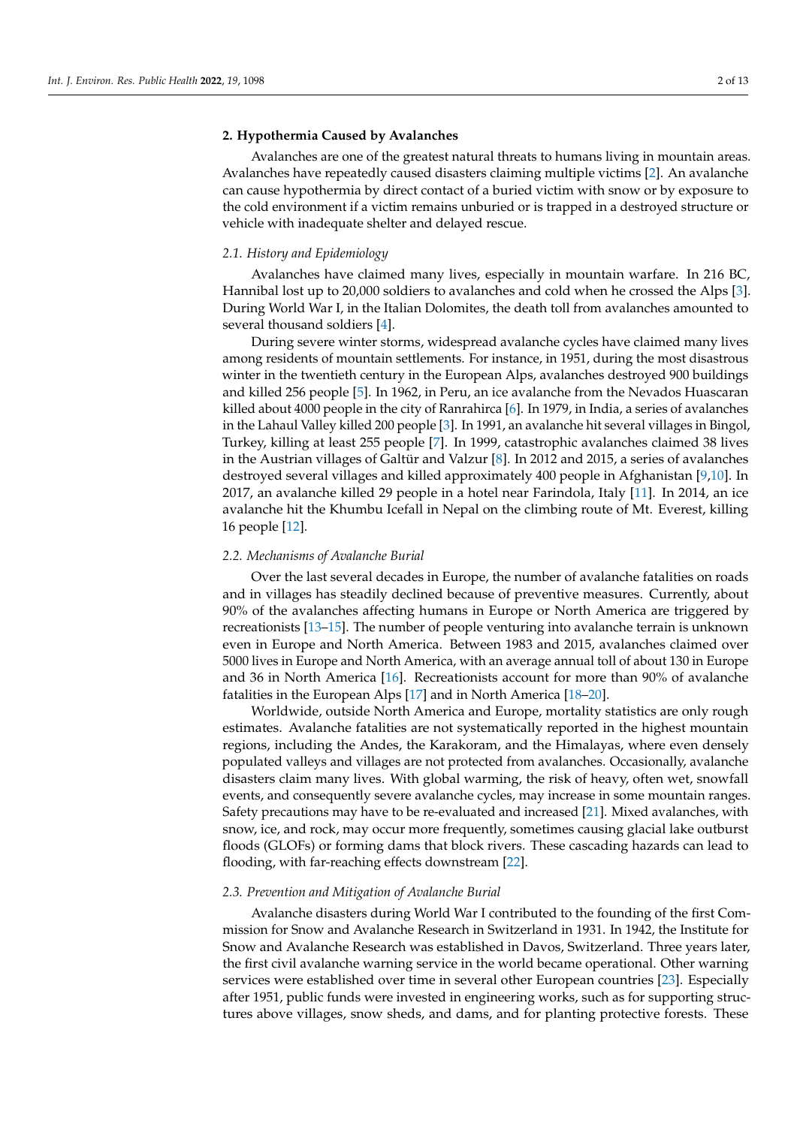#### **2. Hypothermia Caused by Avalanches**

Avalanches are one of the greatest natural threats to humans living in mountain areas. Avalanches have repeatedly caused disasters claiming multiple victims [\[2\]](#page-9-1). An avalanche can cause hypothermia by direct contact of a buried victim with snow or by exposure to the cold environment if a victim remains unburied or is trapped in a destroyed structure or vehicle with inadequate shelter and delayed rescue.

#### *2.1. History and Epidemiology*

Avalanches have claimed many lives, especially in mountain warfare. In 216 BC, Hannibal lost up to 20,000 soldiers to avalanches and cold when he crossed the Alps [\[3\]](#page-9-2). During World War I, in the Italian Dolomites, the death toll from avalanches amounted to several thousand soldiers [\[4\]](#page-9-3).

During severe winter storms, widespread avalanche cycles have claimed many lives among residents of mountain settlements. For instance, in 1951, during the most disastrous winter in the twentieth century in the European Alps, avalanches destroyed 900 buildings and killed 256 people [\[5\]](#page-9-4). In 1962, in Peru, an ice avalanche from the Nevados Huascaran killed about 4000 people in the city of Ranrahirca [\[6\]](#page-9-5). In 1979, in India, a series of avalanches in the Lahaul Valley killed 200 people [\[3\]](#page-9-2). In 1991, an avalanche hit several villages in Bingol, Turkey, killing at least 255 people [\[7\]](#page-10-0). In 1999, catastrophic avalanches claimed 38 lives in the Austrian villages of Galtür and Valzur [\[8\]](#page-10-1). In 2012 and 2015, a series of avalanches destroyed several villages and killed approximately 400 people in Afghanistan [\[9](#page-10-2)[,10\]](#page-10-3). In 2017, an avalanche killed 29 people in a hotel near Farindola, Italy [\[11\]](#page-10-4). In 2014, an ice avalanche hit the Khumbu Icefall in Nepal on the climbing route of Mt. Everest, killing 16 people [\[12\]](#page-10-5).

#### *2.2. Mechanisms of Avalanche Burial*

Over the last several decades in Europe, the number of avalanche fatalities on roads and in villages has steadily declined because of preventive measures. Currently, about 90% of the avalanches affecting humans in Europe or North America are triggered by recreationists [\[13](#page-10-6)[–15\]](#page-10-7). The number of people venturing into avalanche terrain is unknown even in Europe and North America. Between 1983 and 2015, avalanches claimed over 5000 lives in Europe and North America, with an average annual toll of about 130 in Europe and 36 in North America [\[16\]](#page-10-8). Recreationists account for more than 90% of avalanche fatalities in the European Alps [\[17\]](#page-10-9) and in North America [\[18–](#page-10-10)[20\]](#page-10-11).

Worldwide, outside North America and Europe, mortality statistics are only rough estimates. Avalanche fatalities are not systematically reported in the highest mountain regions, including the Andes, the Karakoram, and the Himalayas, where even densely populated valleys and villages are not protected from avalanches. Occasionally, avalanche disasters claim many lives. With global warming, the risk of heavy, often wet, snowfall events, and consequently severe avalanche cycles, may increase in some mountain ranges. Safety precautions may have to be re-evaluated and increased [\[21\]](#page-10-12). Mixed avalanches, with snow, ice, and rock, may occur more frequently, sometimes causing glacial lake outburst floods (GLOFs) or forming dams that block rivers. These cascading hazards can lead to flooding, with far-reaching effects downstream [\[22\]](#page-10-13).

## *2.3. Prevention and Mitigation of Avalanche Burial*

Avalanche disasters during World War I contributed to the founding of the first Commission for Snow and Avalanche Research in Switzerland in 1931. In 1942, the Institute for Snow and Avalanche Research was established in Davos, Switzerland. Three years later, the first civil avalanche warning service in the world became operational. Other warning services were established over time in several other European countries [\[23\]](#page-10-14). Especially after 1951, public funds were invested in engineering works, such as for supporting structures above villages, snow sheds, and dams, and for planting protective forests. These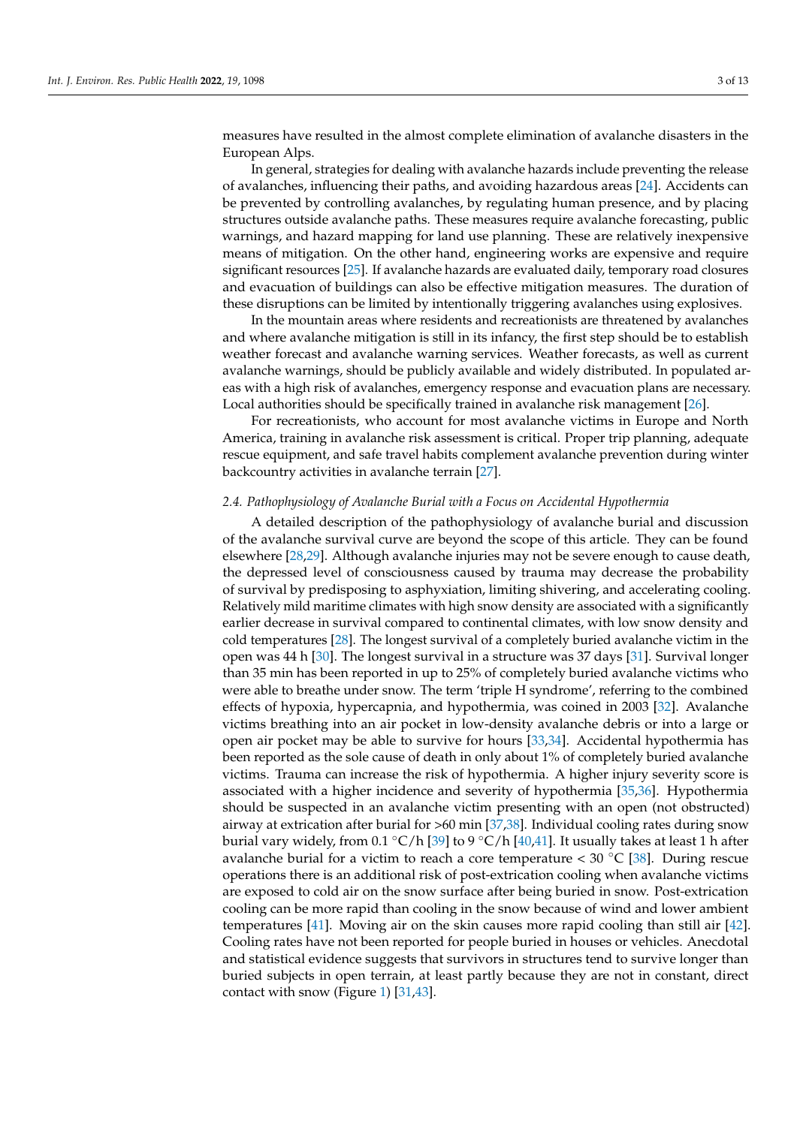measures have resulted in the almost complete elimination of avalanche disasters in the European Alps.

In general, strategies for dealing with avalanche hazards include preventing the release of avalanches, influencing their paths, and avoiding hazardous areas [\[24\]](#page-10-15). Accidents can be prevented by controlling avalanches, by regulating human presence, and by placing structures outside avalanche paths. These measures require avalanche forecasting, public warnings, and hazard mapping for land use planning. These are relatively inexpensive means of mitigation. On the other hand, engineering works are expensive and require significant resources [\[25\]](#page-10-16). If avalanche hazards are evaluated daily, temporary road closures and evacuation of buildings can also be effective mitigation measures. The duration of these disruptions can be limited by intentionally triggering avalanches using explosives.

In the mountain areas where residents and recreationists are threatened by avalanches and where avalanche mitigation is still in its infancy, the first step should be to establish weather forecast and avalanche warning services. Weather forecasts, as well as current avalanche warnings, should be publicly available and widely distributed. In populated areas with a high risk of avalanches, emergency response and evacuation plans are necessary. Local authorities should be specifically trained in avalanche risk management [\[26\]](#page-10-17).

For recreationists, who account for most avalanche victims in Europe and North America, training in avalanche risk assessment is critical. Proper trip planning, adequate rescue equipment, and safe travel habits complement avalanche prevention during winter backcountry activities in avalanche terrain [\[27\]](#page-10-18).

# *2.4. Pathophysiology of Avalanche Burial with a Focus on Accidental Hypothermia*

A detailed description of the pathophysiology of avalanche burial and discussion of the avalanche survival curve are beyond the scope of this article. They can be found elsewhere [\[28,](#page-10-19)[29\]](#page-10-20). Although avalanche injuries may not be severe enough to cause death, the depressed level of consciousness caused by trauma may decrease the probability of survival by predisposing to asphyxiation, limiting shivering, and accelerating cooling. Relatively mild maritime climates with high snow density are associated with a significantly earlier decrease in survival compared to continental climates, with low snow density and cold temperatures [\[28\]](#page-10-19). The longest survival of a completely buried avalanche victim in the open was 44 h [\[30\]](#page-10-21). The longest survival in a structure was 37 days [\[31\]](#page-10-22). Survival longer than 35 min has been reported in up to 25% of completely buried avalanche victims who were able to breathe under snow. The term 'triple H syndrome', referring to the combined effects of hypoxia, hypercapnia, and hypothermia, was coined in 2003 [\[32\]](#page-10-23). Avalanche victims breathing into an air pocket in low-density avalanche debris or into a large or open air pocket may be able to survive for hours [\[33,](#page-10-24)[34\]](#page-11-0). Accidental hypothermia has been reported as the sole cause of death in only about 1% of completely buried avalanche victims. Trauma can increase the risk of hypothermia. A higher injury severity score is associated with a higher incidence and severity of hypothermia [\[35](#page-11-1)[,36\]](#page-11-2). Hypothermia should be suspected in an avalanche victim presenting with an open (not obstructed) airway at extrication after burial for >60 min [\[37](#page-11-3)[,38\]](#page-11-4). Individual cooling rates during snow burial vary widely, from 0.1 °C/h [\[39\]](#page-11-5) to 9 °C/h [\[40,](#page-11-6)[41\]](#page-11-7). It usually takes at least 1 h after avalanche burial for a victim to reach a core temperature <  $30\degree\text{C}$  [\[38\]](#page-11-4). During rescue operations there is an additional risk of post-extrication cooling when avalanche victims are exposed to cold air on the snow surface after being buried in snow. Post-extrication cooling can be more rapid than cooling in the snow because of wind and lower ambient temperatures [\[41\]](#page-11-7). Moving air on the skin causes more rapid cooling than still air [\[42\]](#page-11-8). Cooling rates have not been reported for people buried in houses or vehicles. Anecdotal and statistical evidence suggests that survivors in structures tend to survive longer than buried subjects in open terrain, at least partly because they are not in constant, direct contact with snow (Figure [1\)](#page-3-0) [\[31](#page-10-22)[,43\]](#page-11-9).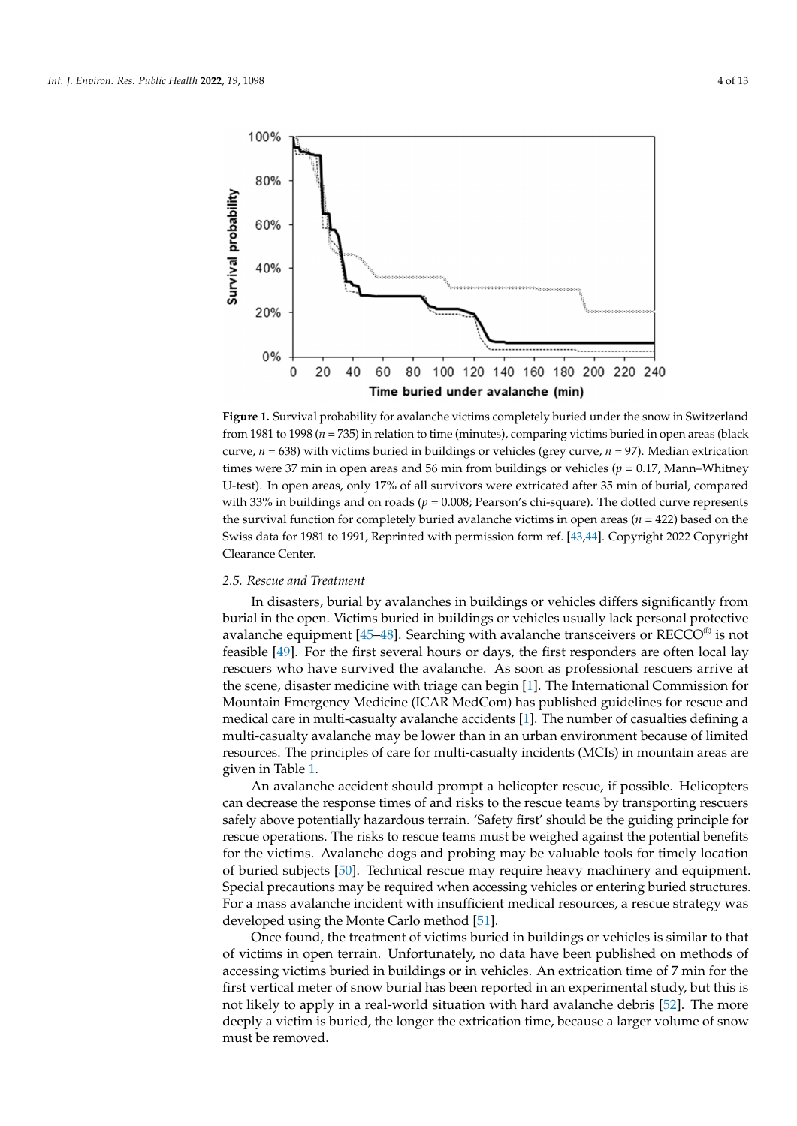(Figure 1)  $\frac{1}{3}$   $\frac{1}{3}$ 

<span id="page-3-0"></span>

**Figure 1.** Survival probability for avalanche victims completely buried under the snow in Switzerland land from 1981 to 1998 (*n* = 735) in relation to time (minutes), comparing victims buried in open from 1981 to 1998 (*n* = 735) in relation to time (minutes), comparing victims buried in open areas (black curve,  $n = 638$ ) with victims buried in buildings or vehicles (grey curve,  $n = 97$ ). Median extrication times were 37 min in open areas and 56 min from buildings or vehicles ( $p = 0.17$ , Mann–Whitney U-test). In open areas, only 17% of all survivors were extricated after 35 min of burial, compared with 33% in buildings and on roads ( $p = 0.008$ ; Pearson's chi-square). The dotted curve represents the survival function for completely buried avalanche victims in open areas ( $n = 422$ ) based on the Swiss data for 1981 to 1991, Reprinted with permission form ref. [\[43](#page-11-9)[,44\]](#page-11-10). Copyright 2022 Copyright *2.5. Rescue and Treatment*  Clearance Center.

# 2.5. Rescue and Treatment

In disasters, burial by avalanches in buildings or vehicles differs significantly from burial in the open. Victims buried in buildings or vehicles usually lack personal protective avalanche equipment [45–48]. Searching with avalanche transcei[ver](#page-11-12)s or RECCO<sup>®</sup> is not feasible [49]. For the first several hours or days, the first responders are often local lay rescuers who have survived the avalanche. As soon as professional rescuers arrive at the scene, disaster medicine with triage can begin [1]. The International Commission for Mountain Emergency Medicine (ICAR MedCom) has published guidelines for rescue and medical care in multi-casualty avalanche accidents [1]. The number of casualties defining a multi-casualty avalanche may be lower than in an urban environment because of limited resources. The principles of care for multi-casualty incidents (MCIs) in mountain areas are given in Table [1.](#page-4-0)

An avalanche accident should prompt a helicopter rescue, if possible. Helicopters can decrease the response times of and risks to the rescue teams by transporting rescuers safely above potentially hazardous terrain. 'Safety first' should be the guiding principle for rescue operations. The risks to rescue teams must be weighed against the potential benefits  $\epsilon$ Special precautions may be required when accessing vehicles or entering buried structures.  $\frac{1}{2}$  considered to be too high. developed using the Monte Carlo method [\[51\]](#page-11-15). for the victims. Avalanche dogs and probing may be valuable tools for timely location of buried subjects [\[50\]](#page-11-14). Technical rescue may require heavy machinery and equipment. For a mass avalanche incident with insufficient medical resources, a rescue strategy was

 $\overline{\Omega}$ Once found, the treatment of victims buried in buildings or vehicles is similar to that of victims in open terrain. Unfortunately, no data have been published on methods of accessing victims buried in buildings or in vehicles. An extrication time of 7 min for the first vertical meter of snow burial has been reported in an experimental study, but this is not likely to apply in a real-world situation with hard avalanche debris [\[52\]](#page-11-16). The more deeply a victim is buried, the longer the extrication time, because a larger volume of snow must be removed.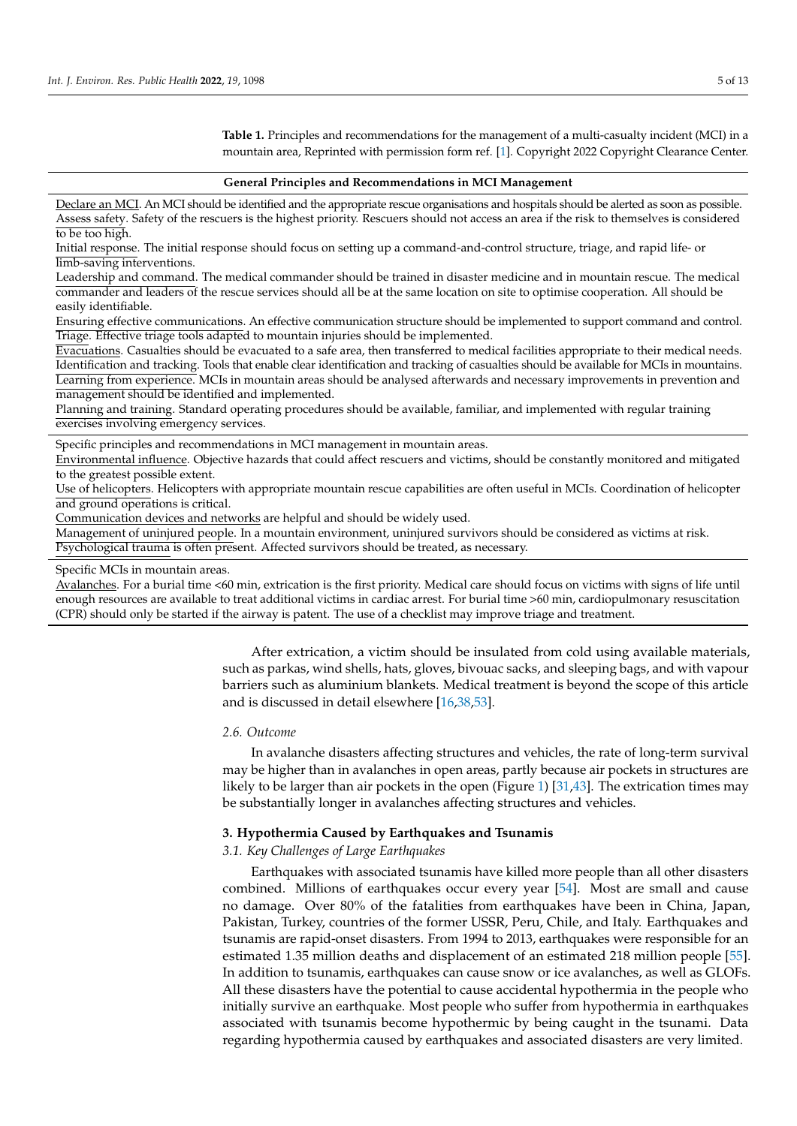<span id="page-4-0"></span>**Table 1.** Principles and recommendations for the management of a multi-casualty incident (MCI) in a mountain area, Reprinted with permission form ref. [\[1\]](#page-9-0). Copyright 2022 Copyright Clearance Center.

#### **General Principles and Recommendations in MCI Management**

Declare an MCI. An MCI should be identified and the appropriate rescue organisations and hospitals should be alerted as soon as possible. Assess safety. Safety of the rescuers is the highest priority. Rescuers should not access an area if the risk to themselves is considered to be too high.

Initial response. The initial response should focus on setting up a command-and-control structure, triage, and rapid life- or limb-saving interventions.

Leadership and command. The medical commander should be trained in disaster medicine and in mountain rescue. The medical commander and leaders of the rescue services should all be at the same location on site to optimise cooperation. All should be easily identifiable.

Ensuring effective communications. An effective communication structure should be implemented to support command and control. Triage. Effective triage tools adapted to mountain injuries should be implemented.

Evacuations. Casualties should be evacuated to a safe area, then transferred to medical facilities appropriate to their medical needs. Identification and tracking. Tools that enable clear identification and tracking of casualties should be available for MCIs in mountains. Learning from experience. MCIs in mountain areas should be analysed afterwards and necessary improvements in prevention and management should be identified and implemented.

Planning and training. Standard operating procedures should be available, familiar, and implemented with regular training exercises involving emergency services.

Specific principles and recommendations in MCI management in mountain areas.

Environmental influence. Objective hazards that could affect rescuers and victims, should be constantly monitored and mitigated to the greatest possible extent.

Use of helicopters. Helicopters with appropriate mountain rescue capabilities are often useful in MCIs. Coordination of helicopter and ground operations is critical.

Communication devices and networks are helpful and should be widely used.

Management of uninjured people. In a mountain environment, uninjured survivors should be considered as victims at risk. Psychological trauma is often present. Affected survivors should be treated, as necessary.

#### Specific MCIs in mountain areas.

Avalanches. For a burial time <60 min, extrication is the first priority. Medical care should focus on victims with signs of life until enough resources are available to treat additional victims in cardiac arrest. For burial time >60 min, cardiopulmonary resuscitation (CPR) should only be started if the airway is patent. The use of a checklist may improve triage and treatment.

> After extrication, a victim should be insulated from cold using available materials, such as parkas, wind shells, hats, gloves, bivouac sacks, and sleeping bags, and with vapour barriers such as aluminium blankets. Medical treatment is beyond the scope of this article and is discussed in detail elsewhere [\[16,](#page-10-8)[38,](#page-11-4)[53\]](#page-11-17).

#### *2.6. Outcome*

In avalanche disasters affecting structures and vehicles, the rate of long-term survival may be higher than in avalanches in open areas, partly because air pockets in structures are likely to be larger than air pockets in the open (Figure [1\)](#page-3-0) [\[31,](#page-10-22)[43\]](#page-11-9). The extrication times may be substantially longer in avalanches affecting structures and vehicles.

#### **3. Hypothermia Caused by Earthquakes and Tsunamis**

## *3.1. Key Challenges of Large Earthquakes*

Earthquakes with associated tsunamis have killed more people than all other disasters combined. Millions of earthquakes occur every year [\[54\]](#page-11-18). Most are small and cause no damage. Over 80% of the fatalities from earthquakes have been in China, Japan, Pakistan, Turkey, countries of the former USSR, Peru, Chile, and Italy. Earthquakes and tsunamis are rapid-onset disasters. From 1994 to 2013, earthquakes were responsible for an estimated 1.35 million deaths and displacement of an estimated 218 million people [\[55\]](#page-11-19). In addition to tsunamis, earthquakes can cause snow or ice avalanches, as well as GLOFs. All these disasters have the potential to cause accidental hypothermia in the people who initially survive an earthquake. Most people who suffer from hypothermia in earthquakes associated with tsunamis become hypothermic by being caught in the tsunami. Data regarding hypothermia caused by earthquakes and associated disasters are very limited.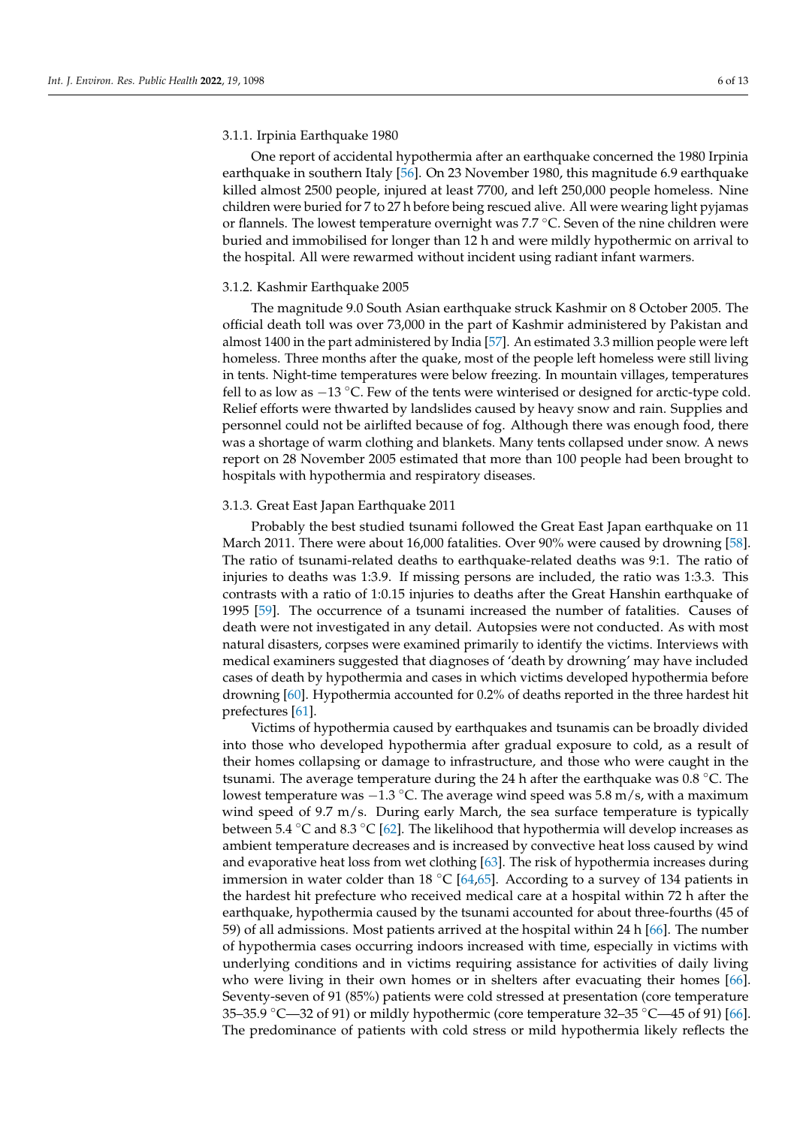One report of accidental hypothermia after an earthquake concerned the 1980 Irpinia earthquake in southern Italy [\[56\]](#page-11-20). On 23 November 1980, this magnitude 6.9 earthquake killed almost 2500 people, injured at least 7700, and left 250,000 people homeless. Nine children were buried for 7 to 27 h before being rescued alive. All were wearing light pyjamas or flannels. The lowest temperature overnight was 7.7 ◦C. Seven of the nine children were buried and immobilised for longer than 12 h and were mildly hypothermic on arrival to the hospital. All were rewarmed without incident using radiant infant warmers.

#### 3.1.2. Kashmir Earthquake 2005

The magnitude 9.0 South Asian earthquake struck Kashmir on 8 October 2005. The official death toll was over 73,000 in the part of Kashmir administered by Pakistan and almost 1400 in the part administered by India [\[57\]](#page-11-21). An estimated 3.3 million people were left homeless. Three months after the quake, most of the people left homeless were still living in tents. Night-time temperatures were below freezing. In mountain villages, temperatures fell to as low as −13 ◦C. Few of the tents were winterised or designed for arctic-type cold. Relief efforts were thwarted by landslides caused by heavy snow and rain. Supplies and personnel could not be airlifted because of fog. Although there was enough food, there was a shortage of warm clothing and blankets. Many tents collapsed under snow. A news report on 28 November 2005 estimated that more than 100 people had been brought to hospitals with hypothermia and respiratory diseases.

### 3.1.3. Great East Japan Earthquake 2011

Probably the best studied tsunami followed the Great East Japan earthquake on 11 March 2011. There were about 16,000 fatalities. Over 90% were caused by drowning [\[58\]](#page-11-22). The ratio of tsunami-related deaths to earthquake-related deaths was 9:1. The ratio of injuries to deaths was 1:3.9. If missing persons are included, the ratio was 1:3.3. This contrasts with a ratio of 1:0.15 injuries to deaths after the Great Hanshin earthquake of 1995 [\[59\]](#page-11-23). The occurrence of a tsunami increased the number of fatalities. Causes of death were not investigated in any detail. Autopsies were not conducted. As with most natural disasters, corpses were examined primarily to identify the victims. Interviews with medical examiners suggested that diagnoses of 'death by drowning' may have included cases of death by hypothermia and cases in which victims developed hypothermia before drowning [\[60\]](#page-11-24). Hypothermia accounted for 0.2% of deaths reported in the three hardest hit prefectures [\[61\]](#page-11-25).

Victims of hypothermia caused by earthquakes and tsunamis can be broadly divided into those who developed hypothermia after gradual exposure to cold, as a result of their homes collapsing or damage to infrastructure, and those who were caught in the tsunami. The average temperature during the 24 h after the earthquake was  $0.8 \degree C$ . The lowest temperature was −1.3 ◦C. The average wind speed was 5.8 m/s, with a maximum wind speed of 9.7 m/s. During early March, the sea surface temperature is typically between 5.4 °C and 8.3 °C [\[62\]](#page-12-0). The likelihood that hypothermia will develop increases as ambient temperature decreases and is increased by convective heat loss caused by wind and evaporative heat loss from wet clothing [\[63\]](#page-12-1). The risk of hypothermia increases during immersion in water colder than 18  $°C$  [\[64](#page-12-2)[,65\]](#page-12-3). According to a survey of 134 patients in the hardest hit prefecture who received medical care at a hospital within 72 h after the earthquake, hypothermia caused by the tsunami accounted for about three-fourths (45 of 59) of all admissions. Most patients arrived at the hospital within 24 h [\[66\]](#page-12-4). The number of hypothermia cases occurring indoors increased with time, especially in victims with underlying conditions and in victims requiring assistance for activities of daily living who were living in their own homes or in shelters after evacuating their homes [\[66\]](#page-12-4). Seventy-seven of 91 (85%) patients were cold stressed at presentation (core temperature 35–35.9 °C—32 of 91) or mildly hypothermic (core temperature  $32-35$  °C—45 of 91) [\[66\]](#page-12-4). The predominance of patients with cold stress or mild hypothermia likely reflects the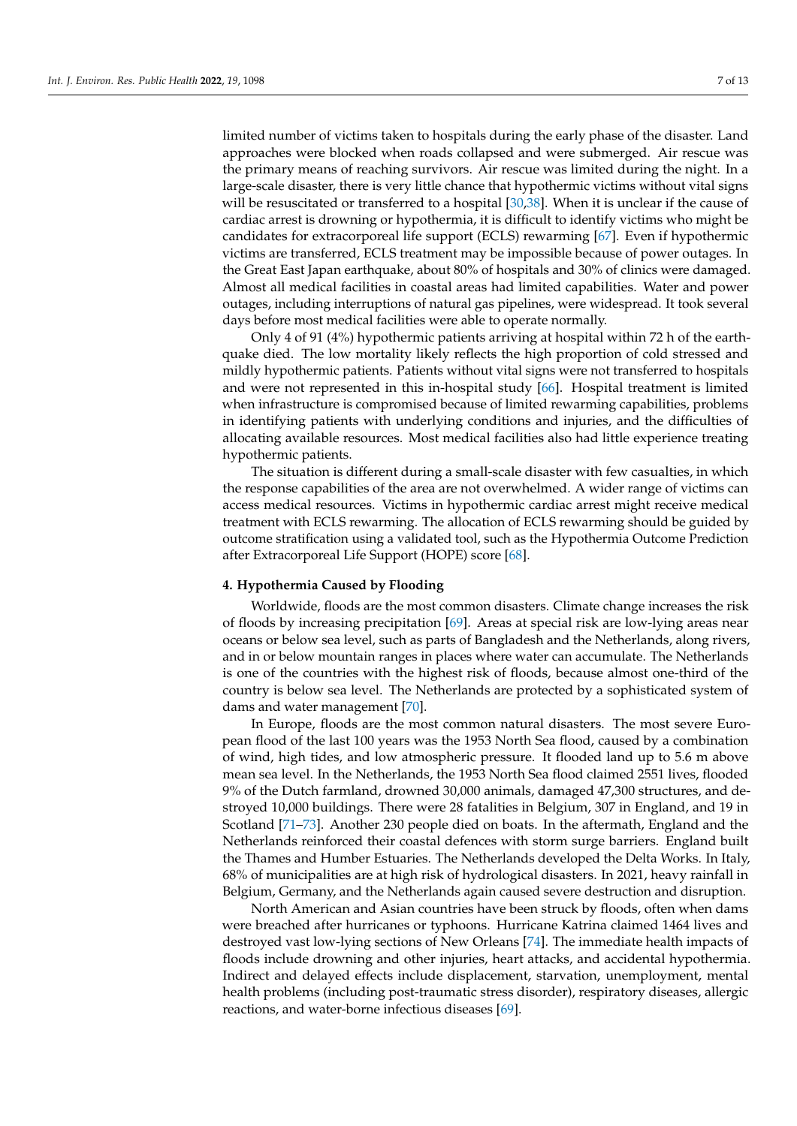limited number of victims taken to hospitals during the early phase of the disaster. Land approaches were blocked when roads collapsed and were submerged. Air rescue was the primary means of reaching survivors. Air rescue was limited during the night. In a large-scale disaster, there is very little chance that hypothermic victims without vital signs will be resuscitated or transferred to a hospital [\[30,](#page-10-21)[38\]](#page-11-4). When it is unclear if the cause of cardiac arrest is drowning or hypothermia, it is difficult to identify victims who might be candidates for extracorporeal life support (ECLS) rewarming [\[67\]](#page-12-5). Even if hypothermic victims are transferred, ECLS treatment may be impossible because of power outages. In the Great East Japan earthquake, about 80% of hospitals and 30% of clinics were damaged. Almost all medical facilities in coastal areas had limited capabilities. Water and power outages, including interruptions of natural gas pipelines, were widespread. It took several days before most medical facilities were able to operate normally.

Only 4 of 91 (4%) hypothermic patients arriving at hospital within 72 h of the earthquake died. The low mortality likely reflects the high proportion of cold stressed and mildly hypothermic patients. Patients without vital signs were not transferred to hospitals and were not represented in this in-hospital study [\[66\]](#page-12-4). Hospital treatment is limited when infrastructure is compromised because of limited rewarming capabilities, problems in identifying patients with underlying conditions and injuries, and the difficulties of allocating available resources. Most medical facilities also had little experience treating hypothermic patients.

The situation is different during a small-scale disaster with few casualties, in which the response capabilities of the area are not overwhelmed. A wider range of victims can access medical resources. Victims in hypothermic cardiac arrest might receive medical treatment with ECLS rewarming. The allocation of ECLS rewarming should be guided by outcome stratification using a validated tool, such as the Hypothermia Outcome Prediction after Extracorporeal Life Support (HOPE) score [\[68\]](#page-12-6).

## **4. Hypothermia Caused by Flooding**

Worldwide, floods are the most common disasters. Climate change increases the risk of floods by increasing precipitation [\[69\]](#page-12-7). Areas at special risk are low-lying areas near oceans or below sea level, such as parts of Bangladesh and the Netherlands, along rivers, and in or below mountain ranges in places where water can accumulate. The Netherlands is one of the countries with the highest risk of floods, because almost one-third of the country is below sea level. The Netherlands are protected by a sophisticated system of dams and water management [\[70\]](#page-12-8).

In Europe, floods are the most common natural disasters. The most severe European flood of the last 100 years was the 1953 North Sea flood, caused by a combination of wind, high tides, and low atmospheric pressure. It flooded land up to 5.6 m above mean sea level. In the Netherlands, the 1953 North Sea flood claimed 2551 lives, flooded 9% of the Dutch farmland, drowned 30,000 animals, damaged 47,300 structures, and destroyed 10,000 buildings. There were 28 fatalities in Belgium, 307 in England, and 19 in Scotland [\[71](#page-12-9)[–73\]](#page-12-10). Another 230 people died on boats. In the aftermath, England and the Netherlands reinforced their coastal defences with storm surge barriers. England built the Thames and Humber Estuaries. The Netherlands developed the Delta Works. In Italy, 68% of municipalities are at high risk of hydrological disasters. In 2021, heavy rainfall in Belgium, Germany, and the Netherlands again caused severe destruction and disruption.

North American and Asian countries have been struck by floods, often when dams were breached after hurricanes or typhoons. Hurricane Katrina claimed 1464 lives and destroyed vast low-lying sections of New Orleans [\[74\]](#page-12-11). The immediate health impacts of floods include drowning and other injuries, heart attacks, and accidental hypothermia. Indirect and delayed effects include displacement, starvation, unemployment, mental health problems (including post-traumatic stress disorder), respiratory diseases, allergic reactions, and water-borne infectious diseases [\[69\]](#page-12-7).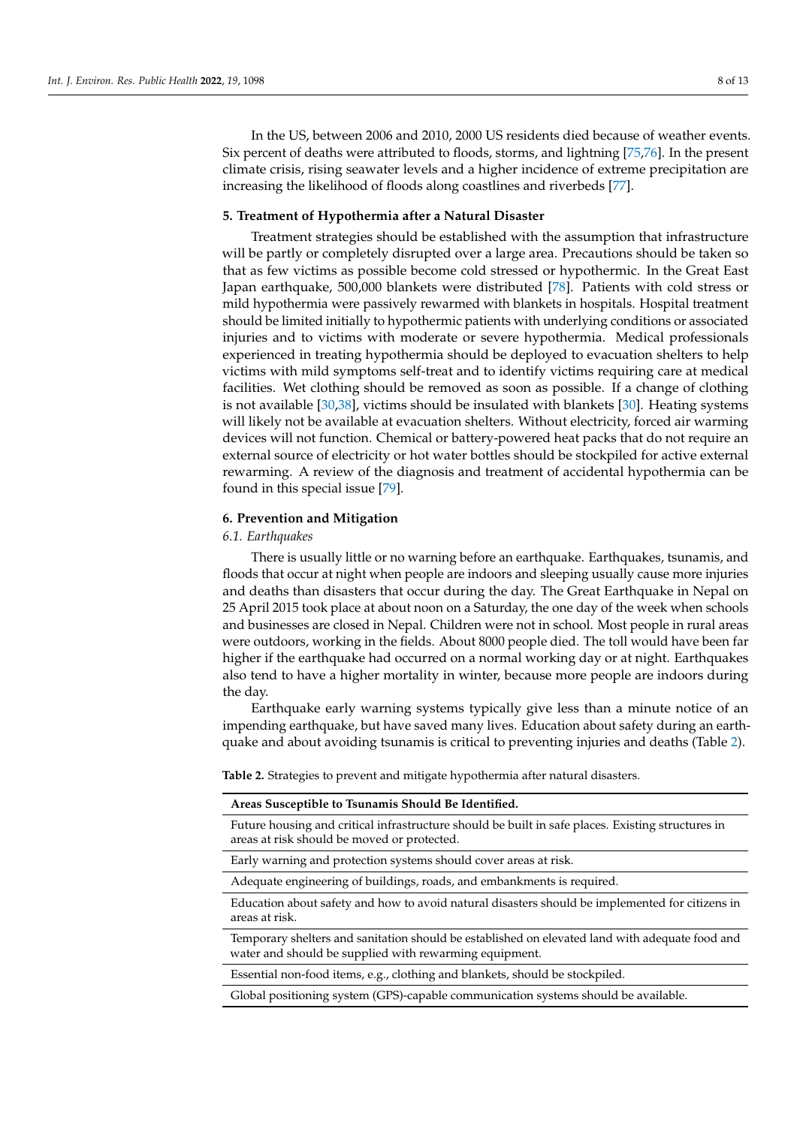In the US, between 2006 and 2010, 2000 US residents died because of weather events. Six percent of deaths were attributed to floods, storms, and lightning [\[75,](#page-12-12)[76\]](#page-12-13). In the present climate crisis, rising seawater levels and a higher incidence of extreme precipitation are increasing the likelihood of floods along coastlines and riverbeds [\[77\]](#page-12-14).

#### **5. Treatment of Hypothermia after a Natural Disaster**

Treatment strategies should be established with the assumption that infrastructure will be partly or completely disrupted over a large area. Precautions should be taken so that as few victims as possible become cold stressed or hypothermic. In the Great East Japan earthquake, 500,000 blankets were distributed [\[78\]](#page-12-15). Patients with cold stress or mild hypothermia were passively rewarmed with blankets in hospitals. Hospital treatment should be limited initially to hypothermic patients with underlying conditions or associated injuries and to victims with moderate or severe hypothermia. Medical professionals experienced in treating hypothermia should be deployed to evacuation shelters to help victims with mild symptoms self-treat and to identify victims requiring care at medical facilities. Wet clothing should be removed as soon as possible. If a change of clothing is not available [\[30,](#page-10-21)[38\]](#page-11-4), victims should be insulated with blankets [\[30\]](#page-10-21). Heating systems will likely not be available at evacuation shelters. Without electricity, forced air warming devices will not function. Chemical or battery-powered heat packs that do not require an external source of electricity or hot water bottles should be stockpiled for active external rewarming. A review of the diagnosis and treatment of accidental hypothermia can be found in this special issue [\[79\]](#page-12-16).

# **6. Prevention and Mitigation**

# *6.1. Earthquakes*

There is usually little or no warning before an earthquake. Earthquakes, tsunamis, and floods that occur at night when people are indoors and sleeping usually cause more injuries and deaths than disasters that occur during the day. The Great Earthquake in Nepal on 25 April 2015 took place at about noon on a Saturday, the one day of the week when schools and businesses are closed in Nepal. Children were not in school. Most people in rural areas were outdoors, working in the fields. About 8000 people died. The toll would have been far higher if the earthquake had occurred on a normal working day or at night. Earthquakes also tend to have a higher mortality in winter, because more people are indoors during the day.

Earthquake early warning systems typically give less than a minute notice of an impending earthquake, but have saved many lives. Education about safety during an earthquake and about avoiding tsunamis is critical to preventing injuries and deaths (Table [2\)](#page-7-0).

<span id="page-7-0"></span>**Table 2.** Strategies to prevent and mitigate hypothermia after natural disasters.

| Areas Susceptible to Tsunamis Should be fuentimed.                                                |
|---------------------------------------------------------------------------------------------------|
| Future housing and critical infrastructure should be built in safe places. Existing structures in |
| areas at risk should be moved or protected.                                                       |

Early warning and protection systems should cover areas at risk.

**Areas Susceptible to Tsunamis Should Be Identified.**

Adequate engineering of buildings, roads, and embankments is required.

Education about safety and how to avoid natural disasters should be implemented for citizens in areas at risk.

Temporary shelters and sanitation should be established on elevated land with adequate food and water and should be supplied with rewarming equipment.

Essential non-food items, e.g., clothing and blankets, should be stockpiled.

Global positioning system (GPS)-capable communication systems should be available.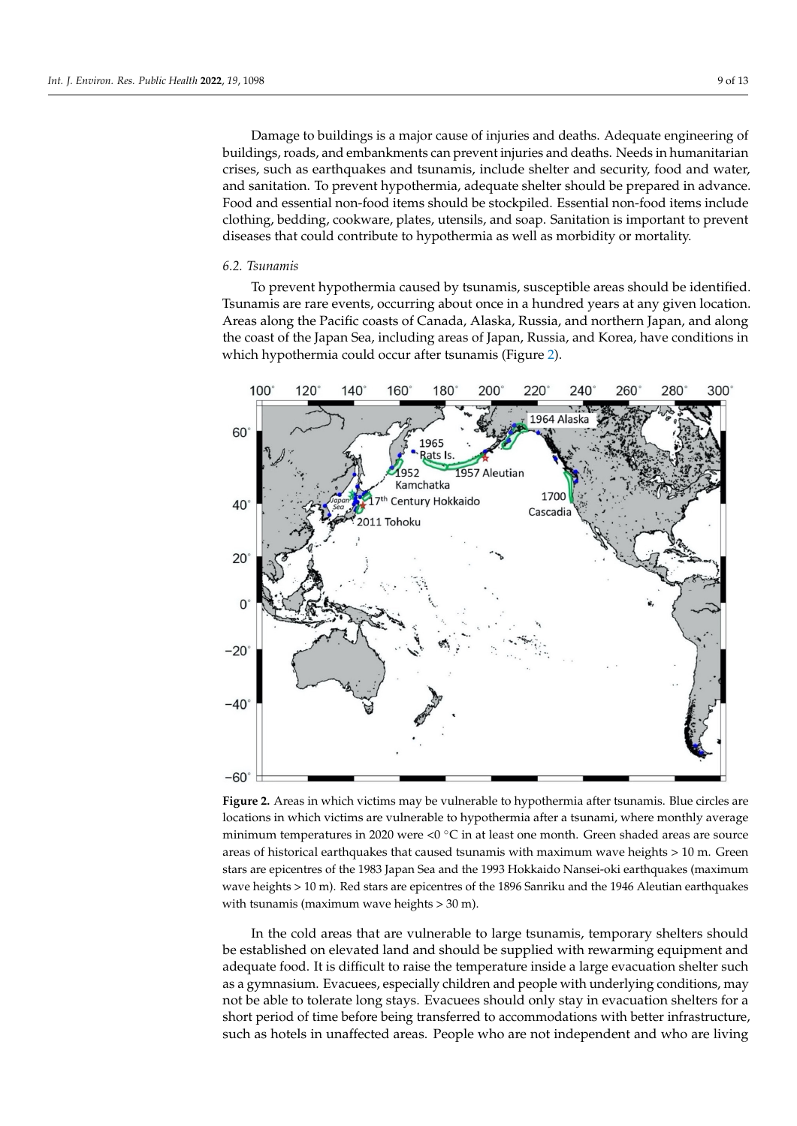Damage to buildings is a major cause of injuries and deaths. Adequate engineering of buildings, roads, and embankments can prevent injuries and deaths. Needs in humanitarian crises, such as earthquakes and tsunamis, include shelter and security, food and water, and sanitation. To prevent hypothermia, adequate shelter should be prepared in advance. Food and essential non-food items should be stockpiled. Essential non-food items include clothing, bedding, cookware, plates, utensils, and soap. Sanitation is important to prevent diseases that could contribute to hypothermia as well as morbidity or mortality.

#### *6.2. Tsunamis*

To prevent hypothermia caused by tsunamis, susceptible areas should be identified. Tsunamis are rare events, occurring about once in a hundred years at any given location. Areas along the Pacific coasts of Canada, Alaska, Russia, and northern Japan, and along the coast of the Japan Sea, including areas of Japan, Russia, and Korea, have conditions in which hypothermia could occur after tsunamis (Figure [2\)](#page-8-0).

<span id="page-8-0"></span>

**Figure 2.** Areas in which victims may be vulnerable to hypothermia after tsunamis. Blue circles are **Figure 2.** Areas in which victims may be vulnerable to hypothermia after tsunamis. Blue circles are locations in which victims are vulnerable to hypothermia after a tsunami, where monthly average locations in which victims are vulnerable to hypothermia after a tsunami, where monthly average minimum temperatures in 2020 were <0  $^{\circ}$ C in at least one month. Green shaded areas are source carthquakes that caused tsunamis with maximum wave heights  $>10$  m. Green areas of historical earthquakes that caused tsunamis with maximum wave heights > 10 m. Green stars are epicentres of the 1983 Japan Sea and the 1993 Hokkaido Nansei-oki earthquakes (maximum wave heights > 10 m). Red stars are epicentres of the 1896 Sanriku and the 1946 Aleutian earthquakes with tsunamis (maximum wave heights > 30 m).

In the cold areas that are vulnerable to large tsunamis, temporary shelters should be established on elevated land and should be supplied with rewarming equipment and adequate food. It is difficult to raise the temperature inside a large evacuation shelter such as a gymnasium. Evacuees, especially children and people with underlying conditions, may not be able to tolerate long stays. Evacuees should only stay in evacuation shelters for a short period of time before being transferred to accommodations with better infrastructure,  $b$  unaffected areas. People who are not independent and who are living such as hotels in unaffected areas. People who are not independent and who are living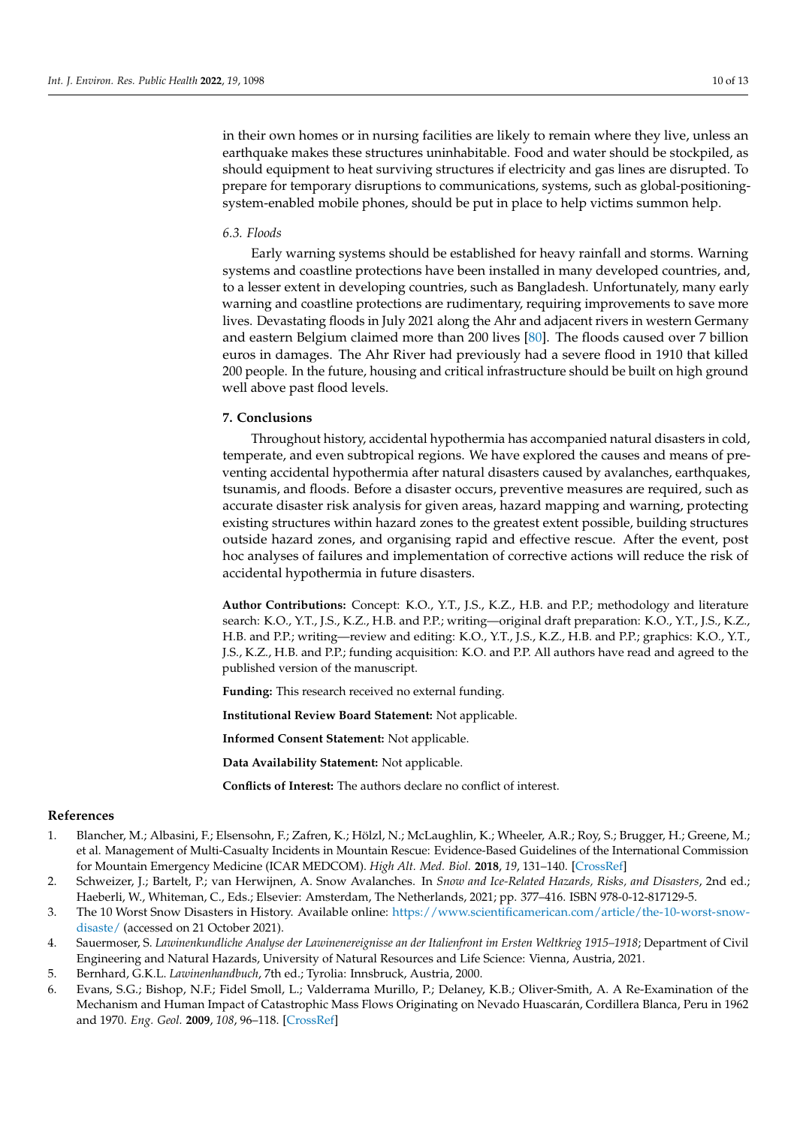in their own homes or in nursing facilities are likely to remain where they live, unless an earthquake makes these structures uninhabitable. Food and water should be stockpiled, as should equipment to heat surviving structures if electricity and gas lines are disrupted. To prepare for temporary disruptions to communications, systems, such as global-positioningsystem-enabled mobile phones, should be put in place to help victims summon help.

# *6.3. Floods*

Early warning systems should be established for heavy rainfall and storms. Warning systems and coastline protections have been installed in many developed countries, and, to a lesser extent in developing countries, such as Bangladesh. Unfortunately, many early warning and coastline protections are rudimentary, requiring improvements to save more lives. Devastating floods in July 2021 along the Ahr and adjacent rivers in western Germany and eastern Belgium claimed more than 200 lives [\[80\]](#page-12-17). The floods caused over 7 billion euros in damages. The Ahr River had previously had a severe flood in 1910 that killed 200 people. In the future, housing and critical infrastructure should be built on high ground well above past flood levels.

# **7. Conclusions**

Throughout history, accidental hypothermia has accompanied natural disasters in cold, temperate, and even subtropical regions. We have explored the causes and means of preventing accidental hypothermia after natural disasters caused by avalanches, earthquakes, tsunamis, and floods. Before a disaster occurs, preventive measures are required, such as accurate disaster risk analysis for given areas, hazard mapping and warning, protecting existing structures within hazard zones to the greatest extent possible, building structures outside hazard zones, and organising rapid and effective rescue. After the event, post hoc analyses of failures and implementation of corrective actions will reduce the risk of accidental hypothermia in future disasters.

**Author Contributions:** Concept: K.O., Y.T., J.S., K.Z., H.B. and P.P.; methodology and literature search: K.O., Y.T., J.S., K.Z., H.B. and P.P.; writing—original draft preparation: K.O., Y.T., J.S., K.Z., H.B. and P.P.; writing—review and editing: K.O., Y.T., J.S., K.Z., H.B. and P.P.; graphics: K.O., Y.T., J.S., K.Z., H.B. and P.P.; funding acquisition: K.O. and P.P. All authors have read and agreed to the published version of the manuscript.

**Funding:** This research received no external funding.

**Institutional Review Board Statement:** Not applicable.

**Informed Consent Statement:** Not applicable.

**Data Availability Statement:** Not applicable.

**Conflicts of Interest:** The authors declare no conflict of interest.

#### **References**

- <span id="page-9-0"></span>1. Blancher, M.; Albasini, F.; Elsensohn, F.; Zafren, K.; Hölzl, N.; McLaughlin, K.; Wheeler, A.R.; Roy, S.; Brugger, H.; Greene, M.; et al. Management of Multi-Casualty Incidents in Mountain Rescue: Evidence-Based Guidelines of the International Commission for Mountain Emergency Medicine (ICAR MEDCOM). *High Alt. Med. Biol.* **2018**, *19*, 131–140. [\[CrossRef\]](http://doi.org/10.1089/ham.2017.0143)
- <span id="page-9-1"></span>2. Schweizer, J.; Bartelt, P.; van Herwijnen, A. Snow Avalanches. In *Snow and Ice-Related Hazards, Risks, and Disasters*, 2nd ed.; Haeberli, W., Whiteman, C., Eds.; Elsevier: Amsterdam, The Netherlands, 2021; pp. 377–416. ISBN 978-0-12-817129-5.
- <span id="page-9-2"></span>3. The 10 Worst Snow Disasters in History. Available online: [https://www.scientificamerican.com/article/the-10-worst-snow](https://www.scientificamerican.com/article/the-10-worst-snow-disaste/)[disaste/](https://www.scientificamerican.com/article/the-10-worst-snow-disaste/) (accessed on 21 October 2021).
- <span id="page-9-3"></span>4. Sauermoser, S. *Lawinenkundliche Analyse der Lawinenereignisse an der Italienfront im Ersten Weltkrieg 1915–1918*; Department of Civil Engineering and Natural Hazards, University of Natural Resources and Life Science: Vienna, Austria, 2021.
- <span id="page-9-4"></span>5. Bernhard, G.K.L. *Lawinenhandbuch*, 7th ed.; Tyrolia: Innsbruck, Austria, 2000.
- <span id="page-9-5"></span>6. Evans, S.G.; Bishop, N.F.; Fidel Smoll, L.; Valderrama Murillo, P.; Delaney, K.B.; Oliver-Smith, A. A Re-Examination of the Mechanism and Human Impact of Catastrophic Mass Flows Originating on Nevado Huascarán, Cordillera Blanca, Peru in 1962 and 1970. *Eng. Geol.* **2009**, *108*, 96–118. [\[CrossRef\]](http://doi.org/10.1016/j.enggeo.2009.06.020)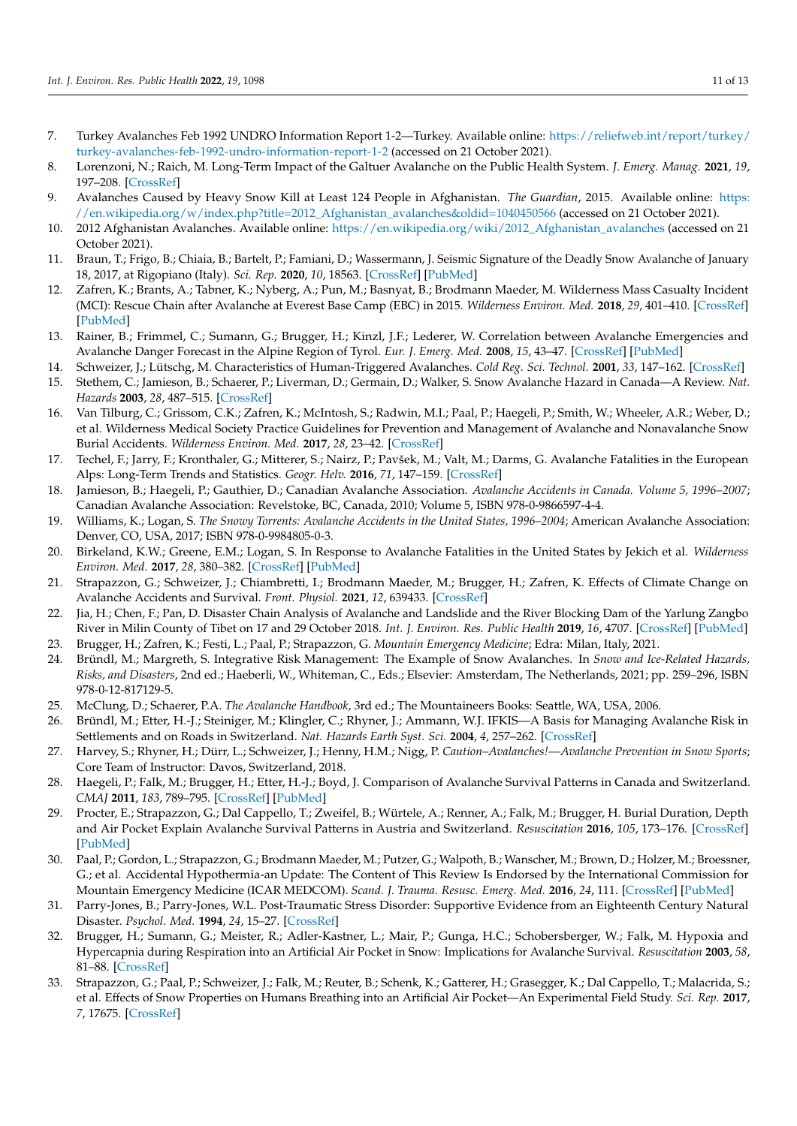- <span id="page-10-0"></span>7. Turkey Avalanches Feb 1992 UNDRO Information Report 1-2—Turkey. Available online: [https://reliefweb.int/report/turkey/](https://reliefweb.int/report/turkey/turkey-avalanches-feb-1992-undro-information-report-1-2) [turkey-avalanches-feb-1992-undro-information-report-1-2](https://reliefweb.int/report/turkey/turkey-avalanches-feb-1992-undro-information-report-1-2) (accessed on 21 October 2021).
- <span id="page-10-1"></span>8. Lorenzoni, N.; Raich, M. Long-Term Impact of the Galtuer Avalanche on the Public Health System. *J. Emerg. Manag.* **2021**, *19*, 197–208. [\[CrossRef\]](http://doi.org/10.5055/jem.0570)
- <span id="page-10-2"></span>9. Avalanches Caused by Heavy Snow Kill at Least 124 People in Afghanistan. *The Guardian*, 2015. Available online: [https:](https://en.wikipedia.org/w/index.php?title=2012_Afghanistan_avalanches&oldid=1040450566) [//en.wikipedia.org/w/index.php?title=2012\\_Afghanistan\\_avalanches&oldid=1040450566](https://en.wikipedia.org/w/index.php?title=2012_Afghanistan_avalanches&oldid=1040450566) (accessed on 21 October 2021).
- <span id="page-10-3"></span>10. 2012 Afghanistan Avalanches. Available online: [https://en.wikipedia.org/wiki/2012\\_Afghanistan\\_avalanches](https://en.wikipedia.org/wiki/2012_Afghanistan_avalanches) (accessed on 21 October 2021).
- <span id="page-10-4"></span>11. Braun, T.; Frigo, B.; Chiaia, B.; Bartelt, P.; Famiani, D.; Wassermann, J. Seismic Signature of the Deadly Snow Avalanche of January 18, 2017, at Rigopiano (Italy). *Sci. Rep.* **2020**, *10*, 18563. [\[CrossRef\]](http://doi.org/10.1038/s41598-020-75368-z) [\[PubMed\]](http://www.ncbi.nlm.nih.gov/pubmed/33122704)
- <span id="page-10-5"></span>12. Zafren, K.; Brants, A.; Tabner, K.; Nyberg, A.; Pun, M.; Basnyat, B.; Brodmann Maeder, M. Wilderness Mass Casualty Incident (MCI): Rescue Chain after Avalanche at Everest Base Camp (EBC) in 2015. *Wilderness Environ. Med.* **2018**, *29*, 401–410. [\[CrossRef\]](http://doi.org/10.1016/j.wem.2018.03.007) [\[PubMed\]](http://www.ncbi.nlm.nih.gov/pubmed/29891425)
- <span id="page-10-6"></span>13. Rainer, B.; Frimmel, C.; Sumann, G.; Brugger, H.; Kinzl, J.F.; Lederer, W. Correlation between Avalanche Emergencies and Avalanche Danger Forecast in the Alpine Region of Tyrol. *Eur. J. Emerg. Med.* **2008**, *15*, 43–47. [\[CrossRef\]](http://doi.org/10.1097/MEJ.0b013e3282b974bd) [\[PubMed\]](http://www.ncbi.nlm.nih.gov/pubmed/18180666)
- 14. Schweizer, J.; Lütschg, M. Characteristics of Human-Triggered Avalanches. *Cold Reg. Sci. Technol.* **2001**, *33*, 147–162. [\[CrossRef\]](http://doi.org/10.1016/S0165-232X(01)00037-4)
- <span id="page-10-7"></span>15. Stethem, C.; Jamieson, B.; Schaerer, P.; Liverman, D.; Germain, D.; Walker, S. Snow Avalanche Hazard in Canada—A Review. *Nat. Hazards* **2003**, *28*, 487–515. [\[CrossRef\]](http://doi.org/10.1023/A:1022998512227)
- <span id="page-10-8"></span>16. Van Tilburg, C.; Grissom, C.K.; Zafren, K.; McIntosh, S.; Radwin, M.I.; Paal, P.; Haegeli, P.; Smith, W.; Wheeler, A.R.; Weber, D.; et al. Wilderness Medical Society Practice Guidelines for Prevention and Management of Avalanche and Nonavalanche Snow Burial Accidents. *Wilderness Environ. Med.* **2017**, *28*, 23–42. [\[CrossRef\]](http://doi.org/10.1016/j.wem.2016.10.004)
- <span id="page-10-9"></span>17. Techel, F.; Jarry, F.; Kronthaler, G.; Mitterer, S.; Nairz, P.; Pavšek, M.; Valt, M.; Darms, G. Avalanche Fatalities in the European Alps: Long-Term Trends and Statistics. *Geogr. Helv.* **2016**, *71*, 147–159. [\[CrossRef\]](http://doi.org/10.5194/gh-71-147-2016)
- <span id="page-10-10"></span>18. Jamieson, B.; Haegeli, P.; Gauthier, D.; Canadian Avalanche Association. *Avalanche Accidents in Canada. Volume 5, 1996–2007*; Canadian Avalanche Association: Revelstoke, BC, Canada, 2010; Volume 5, ISBN 978-0-9866597-4-4.
- 19. Williams, K.; Logan, S. *The Snowy Torrents: Avalanche Accidents in the United States, 1996–2004*; American Avalanche Association: Denver, CO, USA, 2017; ISBN 978-0-9984805-0-3.
- <span id="page-10-11"></span>20. Birkeland, K.W.; Greene, E.M.; Logan, S. In Response to Avalanche Fatalities in the United States by Jekich et al. *Wilderness Environ. Med.* **2017**, *28*, 380–382. [\[CrossRef\]](http://doi.org/10.1016/j.wem.2017.06.009) [\[PubMed\]](http://www.ncbi.nlm.nih.gov/pubmed/28869128)
- <span id="page-10-12"></span>21. Strapazzon, G.; Schweizer, J.; Chiambretti, I.; Brodmann Maeder, M.; Brugger, H.; Zafren, K. Effects of Climate Change on Avalanche Accidents and Survival. *Front. Physiol.* **2021**, *12*, 639433. [\[CrossRef\]](http://doi.org/10.3389/fphys.2021.639433)
- <span id="page-10-13"></span>22. Jia, H.; Chen, F.; Pan, D. Disaster Chain Analysis of Avalanche and Landslide and the River Blocking Dam of the Yarlung Zangbo River in Milin County of Tibet on 17 and 29 October 2018. *Int. J. Environ. Res. Public Health* **2019**, *16*, 4707. [\[CrossRef\]](http://doi.org/10.3390/ijerph16234707) [\[PubMed\]](http://www.ncbi.nlm.nih.gov/pubmed/31779190)
- <span id="page-10-14"></span>23. Brugger, H.; Zafren, K.; Festi, L.; Paal, P.; Strapazzon, G. *Mountain Emergency Medicine*; Edra: Milan, Italy, 2021.
- <span id="page-10-15"></span>24. Bründl, M.; Margreth, S. Integrative Risk Management: The Example of Snow Avalanches. In *Snow and Ice-Related Hazards, Risks, and Disasters*, 2nd ed.; Haeberli, W., Whiteman, C., Eds.; Elsevier: Amsterdam, The Netherlands, 2021; pp. 259–296, ISBN 978-0-12-817129-5.
- <span id="page-10-16"></span>25. McClung, D.; Schaerer, P.A. *The Avalanche Handbook*, 3rd ed.; The Mountaineers Books: Seattle, WA, USA, 2006.
- <span id="page-10-17"></span>26. Bründl, M.; Etter, H.-J.; Steiniger, M.; Klingler, C.; Rhyner, J.; Ammann, W.J. IFKIS—A Basis for Managing Avalanche Risk in Settlements and on Roads in Switzerland. *Nat. Hazards Earth Syst. Sci.* **2004**, *4*, 257–262. [\[CrossRef\]](http://doi.org/10.5194/nhess-4-257-2004)
- <span id="page-10-18"></span>27. Harvey, S.; Rhyner, H.; Dürr, L.; Schweizer, J.; Henny, H.M.; Nigg, P. *Caution–Avalanches!—Avalanche Prevention in Snow Sports*; Core Team of Instructor: Davos, Switzerland, 2018.
- <span id="page-10-19"></span>28. Haegeli, P.; Falk, M.; Brugger, H.; Etter, H.-J.; Boyd, J. Comparison of Avalanche Survival Patterns in Canada and Switzerland. *CMAJ* **2011**, *183*, 789–795. [\[CrossRef\]](http://doi.org/10.1503/cmaj.101435) [\[PubMed\]](http://www.ncbi.nlm.nih.gov/pubmed/21422139)
- <span id="page-10-20"></span>29. Procter, E.; Strapazzon, G.; Dal Cappello, T.; Zweifel, B.; Würtele, A.; Renner, A.; Falk, M.; Brugger, H. Burial Duration, Depth and Air Pocket Explain Avalanche Survival Patterns in Austria and Switzerland. *Resuscitation* **2016**, *105*, 173–176. [\[CrossRef\]](http://doi.org/10.1016/j.resuscitation.2016.06.001) [\[PubMed\]](http://www.ncbi.nlm.nih.gov/pubmed/27312137)
- <span id="page-10-21"></span>30. Paal, P.; Gordon, L.; Strapazzon, G.; Brodmann Maeder, M.; Putzer, G.; Walpoth, B.; Wanscher, M.; Brown, D.; Holzer, M.; Broessner, G.; et al. Accidental Hypothermia-an Update: The Content of This Review Is Endorsed by the International Commission for Mountain Emergency Medicine (ICAR MEDCOM). *Scand. J. Trauma. Resusc. Emerg. Med.* **2016**, *24*, 111. [\[CrossRef\]](http://doi.org/10.1186/s13049-016-0303-7) [\[PubMed\]](http://www.ncbi.nlm.nih.gov/pubmed/27633781)
- <span id="page-10-22"></span>31. Parry-Jones, B.; Parry-Jones, W.L. Post-Traumatic Stress Disorder: Supportive Evidence from an Eighteenth Century Natural Disaster. *Psychol. Med.* **1994**, *24*, 15–27. [\[CrossRef\]](http://doi.org/10.1017/S0033291700026799)
- <span id="page-10-23"></span>32. Brugger, H.; Sumann, G.; Meister, R.; Adler-Kastner, L.; Mair, P.; Gunga, H.C.; Schobersberger, W.; Falk, M. Hypoxia and Hypercapnia during Respiration into an Artificial Air Pocket in Snow: Implications for Avalanche Survival. *Resuscitation* **2003**, *58*, 81–88. [\[CrossRef\]](http://doi.org/10.1016/S0300-9572(03)00113-8)
- <span id="page-10-24"></span>33. Strapazzon, G.; Paal, P.; Schweizer, J.; Falk, M.; Reuter, B.; Schenk, K.; Gatterer, H.; Grasegger, K.; Dal Cappello, T.; Malacrida, S.; et al. Effects of Snow Properties on Humans Breathing into an Artificial Air Pocket—An Experimental Field Study. *Sci. Rep.* **2017**, *7*, 17675. [\[CrossRef\]](http://doi.org/10.1038/s41598-017-17960-4)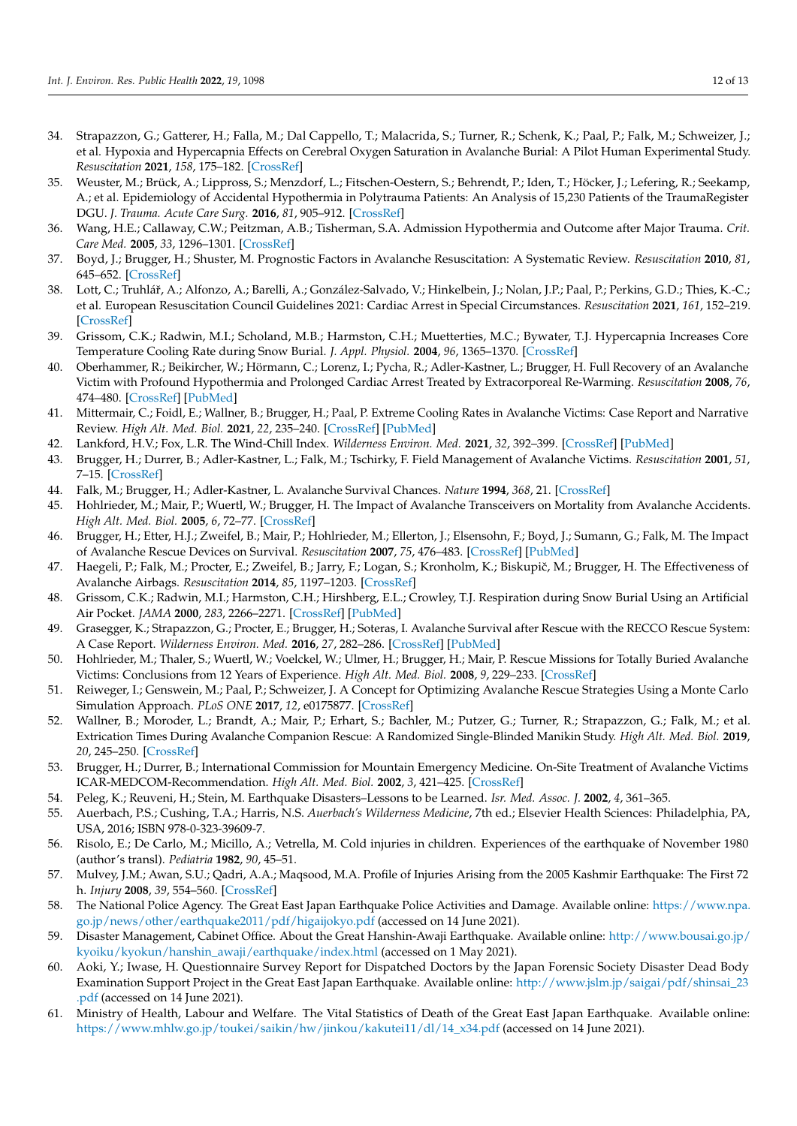- <span id="page-11-0"></span>34. Strapazzon, G.; Gatterer, H.; Falla, M.; Dal Cappello, T.; Malacrida, S.; Turner, R.; Schenk, K.; Paal, P.; Falk, M.; Schweizer, J.; et al. Hypoxia and Hypercapnia Effects on Cerebral Oxygen Saturation in Avalanche Burial: A Pilot Human Experimental Study. *Resuscitation* **2021**, *158*, 175–182. [\[CrossRef\]](http://doi.org/10.1016/j.resuscitation.2020.11.023)
- <span id="page-11-1"></span>35. Weuster, M.; Brück, A.; Lippross, S.; Menzdorf, L.; Fitschen-Oestern, S.; Behrendt, P.; Iden, T.; Höcker, J.; Lefering, R.; Seekamp, A.; et al. Epidemiology of Accidental Hypothermia in Polytrauma Patients: An Analysis of 15,230 Patients of the TraumaRegister DGU. *J. Trauma. Acute Care Surg.* **2016**, *81*, 905–912. [\[CrossRef\]](http://doi.org/10.1097/TA.0000000000001220)
- <span id="page-11-2"></span>36. Wang, H.E.; Callaway, C.W.; Peitzman, A.B.; Tisherman, S.A. Admission Hypothermia and Outcome after Major Trauma. *Crit. Care Med.* **2005**, *33*, 1296–1301. [\[CrossRef\]](http://doi.org/10.1097/01.CCM.0000165965.31895.80)
- <span id="page-11-3"></span>37. Boyd, J.; Brugger, H.; Shuster, M. Prognostic Factors in Avalanche Resuscitation: A Systematic Review. *Resuscitation* **2010**, *81*, 645–652. [\[CrossRef\]](http://doi.org/10.1016/j.resuscitation.2010.01.037)
- <span id="page-11-4"></span>38. Lott, C.; Truhlář, A.; Alfonzo, A.; Barelli, A.; González-Salvado, V.; Hinkelbein, J.; Nolan, J.P.; Paal, P.; Perkins, G.D.; Thies, K.-C.; et al. European Resuscitation Council Guidelines 2021: Cardiac Arrest in Special Circumstances. *Resuscitation* **2021**, *161*, 152–219. [\[CrossRef\]](http://doi.org/10.1016/j.resuscitation.2021.02.011)
- <span id="page-11-5"></span>39. Grissom, C.K.; Radwin, M.I.; Scholand, M.B.; Harmston, C.H.; Muetterties, M.C.; Bywater, T.J. Hypercapnia Increases Core Temperature Cooling Rate during Snow Burial. *J. Appl. Physiol.* **2004**, *96*, 1365–1370. [\[CrossRef\]](http://doi.org/10.1152/japplphysiol.00531.2003)
- <span id="page-11-6"></span>40. Oberhammer, R.; Beikircher, W.; Hörmann, C.; Lorenz, I.; Pycha, R.; Adler-Kastner, L.; Brugger, H. Full Recovery of an Avalanche Victim with Profound Hypothermia and Prolonged Cardiac Arrest Treated by Extracorporeal Re-Warming. *Resuscitation* **2008**, *76*, 474–480. [\[CrossRef\]](http://doi.org/10.1016/j.resuscitation.2007.09.004) [\[PubMed\]](http://www.ncbi.nlm.nih.gov/pubmed/17988783)
- <span id="page-11-7"></span>41. Mittermair, C.; Foidl, E.; Wallner, B.; Brugger, H.; Paal, P. Extreme Cooling Rates in Avalanche Victims: Case Report and Narrative Review. *High Alt. Med. Biol.* **2021**, *22*, 235–240. [\[CrossRef\]](http://doi.org/10.1089/ham.2020.0222) [\[PubMed\]](http://www.ncbi.nlm.nih.gov/pubmed/33761270)
- <span id="page-11-8"></span>42. Lankford, H.V.; Fox, L.R. The Wind-Chill Index. *Wilderness Environ. Med.* **2021**, *32*, 392–399. [\[CrossRef\]](http://doi.org/10.1016/j.wem.2021.04.005) [\[PubMed\]](http://www.ncbi.nlm.nih.gov/pubmed/34294536)
- <span id="page-11-9"></span>43. Brugger, H.; Durrer, B.; Adler-Kastner, L.; Falk, M.; Tschirky, F. Field Management of Avalanche Victims. *Resuscitation* **2001**, *51*, 7–15. [\[CrossRef\]](http://doi.org/10.1016/S0300-9572(01)00383-5)
- <span id="page-11-10"></span>44. Falk, M.; Brugger, H.; Adler-Kastner, L. Avalanche Survival Chances. *Nature* **1994**, *368*, 21. [\[CrossRef\]](http://doi.org/10.1038/368021a0)
- <span id="page-11-11"></span>45. Hohlrieder, M.; Mair, P.; Wuertl, W.; Brugger, H. The Impact of Avalanche Transceivers on Mortality from Avalanche Accidents. *High Alt. Med. Biol.* **2005**, *6*, 72–77. [\[CrossRef\]](http://doi.org/10.1089/ham.2005.6.72)
- 46. Brugger, H.; Etter, H.J.; Zweifel, B.; Mair, P.; Hohlrieder, M.; Ellerton, J.; Elsensohn, F.; Boyd, J.; Sumann, G.; Falk, M. The Impact of Avalanche Rescue Devices on Survival. *Resuscitation* **2007**, *75*, 476–483. [\[CrossRef\]](http://doi.org/10.1016/j.resuscitation.2007.06.002) [\[PubMed\]](http://www.ncbi.nlm.nih.gov/pubmed/17689170)
- 47. Haegeli, P.; Falk, M.; Procter, E.; Zweifel, B.; Jarry, F.; Logan, S.; Kronholm, K.; Biskupič, M.; Brugger, H. The Effectiveness of Avalanche Airbags. *Resuscitation* **2014**, *85*, 1197–1203. [\[CrossRef\]](http://doi.org/10.1016/j.resuscitation.2014.05.025)
- <span id="page-11-12"></span>48. Grissom, C.K.; Radwin, M.I.; Harmston, C.H.; Hirshberg, E.L.; Crowley, T.J. Respiration during Snow Burial Using an Artificial Air Pocket. *JAMA* **2000**, *283*, 2266–2271. [\[CrossRef\]](http://doi.org/10.1001/jama.283.17.2266) [\[PubMed\]](http://www.ncbi.nlm.nih.gov/pubmed/10807386)
- <span id="page-11-13"></span>49. Grasegger, K.; Strapazzon, G.; Procter, E.; Brugger, H.; Soteras, I. Avalanche Survival after Rescue with the RECCO Rescue System: A Case Report. *Wilderness Environ. Med.* **2016**, *27*, 282–286. [\[CrossRef\]](http://doi.org/10.1016/j.wem.2016.02.004) [\[PubMed\]](http://www.ncbi.nlm.nih.gov/pubmed/27116920)
- <span id="page-11-14"></span>50. Hohlrieder, M.; Thaler, S.; Wuertl, W.; Voelckel, W.; Ulmer, H.; Brugger, H.; Mair, P. Rescue Missions for Totally Buried Avalanche Victims: Conclusions from 12 Years of Experience. *High Alt. Med. Biol.* **2008**, *9*, 229–233. [\[CrossRef\]](http://doi.org/10.1089/ham.2007.1061)
- <span id="page-11-15"></span>51. Reiweger, I.; Genswein, M.; Paal, P.; Schweizer, J. A Concept for Optimizing Avalanche Rescue Strategies Using a Monte Carlo Simulation Approach. *PLoS ONE* **2017**, *12*, e0175877. [\[CrossRef\]](http://doi.org/10.1371/journal.pone.0175877)
- <span id="page-11-16"></span>52. Wallner, B.; Moroder, L.; Brandt, A.; Mair, P.; Erhart, S.; Bachler, M.; Putzer, G.; Turner, R.; Strapazzon, G.; Falk, M.; et al. Extrication Times During Avalanche Companion Rescue: A Randomized Single-Blinded Manikin Study. *High Alt. Med. Biol.* **2019**, *20*, 245–250. [\[CrossRef\]](http://doi.org/10.1089/ham.2019.0021)
- <span id="page-11-17"></span>53. Brugger, H.; Durrer, B.; International Commission for Mountain Emergency Medicine. On-Site Treatment of Avalanche Victims ICAR-MEDCOM-Recommendation. *High Alt. Med. Biol.* **2002**, *3*, 421–425. [\[CrossRef\]](http://doi.org/10.1089/15270290260512918)
- <span id="page-11-18"></span>54. Peleg, K.; Reuveni, H.; Stein, M. Earthquake Disasters–Lessons to be Learned. *Isr. Med. Assoc. J.* **2002**, *4*, 361–365.
- <span id="page-11-19"></span>55. Auerbach, P.S.; Cushing, T.A.; Harris, N.S. *Auerbach's Wilderness Medicine*, 7th ed.; Elsevier Health Sciences: Philadelphia, PA, USA, 2016; ISBN 978-0-323-39609-7.
- <span id="page-11-20"></span>56. Risolo, E.; De Carlo, M.; Micillo, A.; Vetrella, M. Cold injuries in children. Experiences of the earthquake of November 1980 (author's transl). *Pediatria* **1982**, *90*, 45–51.
- <span id="page-11-21"></span>57. Mulvey, J.M.; Awan, S.U.; Qadri, A.A.; Maqsood, M.A. Profile of Injuries Arising from the 2005 Kashmir Earthquake: The First 72 h. *Injury* **2008**, *39*, 554–560. [\[CrossRef\]](http://doi.org/10.1016/j.injury.2007.07.025)
- <span id="page-11-22"></span>58. The National Police Agency. The Great East Japan Earthquake Police Activities and Damage. Available online: [https://www.npa.](https://www.npa.go.jp/news/other/earthquake2011/pdf/higaijokyo.pdf) [go.jp/news/other/earthquake2011/pdf/higaijokyo.pdf](https://www.npa.go.jp/news/other/earthquake2011/pdf/higaijokyo.pdf) (accessed on 14 June 2021).
- <span id="page-11-23"></span>59. Disaster Management, Cabinet Office. About the Great Hanshin-Awaji Earthquake. Available online: [http://www.bousai.go.jp/](http://www.bousai.go.jp/kyoiku/kyokun/hanshin_awaji/earthquake/index.html) [kyoiku/kyokun/hanshin\\_awaji/earthquake/index.html](http://www.bousai.go.jp/kyoiku/kyokun/hanshin_awaji/earthquake/index.html) (accessed on 1 May 2021).
- <span id="page-11-24"></span>60. Aoki, Y.; Iwase, H. Questionnaire Survey Report for Dispatched Doctors by the Japan Forensic Society Disaster Dead Body Examination Support Project in the Great East Japan Earthquake. Available online: [http://www.jslm.jp/saigai/pdf/shinsai\\_23](http://www.jslm.jp/saigai/pdf/shinsai_23.pdf) [.pdf](http://www.jslm.jp/saigai/pdf/shinsai_23.pdf) (accessed on 14 June 2021).
- <span id="page-11-25"></span>61. Ministry of Health, Labour and Welfare. The Vital Statistics of Death of the Great East Japan Earthquake. Available online: [https://www.mhlw.go.jp/toukei/saikin/hw/jinkou/kakutei11/dl/14\\_x34.pdf](https://www.mhlw.go.jp/toukei/saikin/hw/jinkou/kakutei11/dl/14_x34.pdf) (accessed on 14 June 2021).